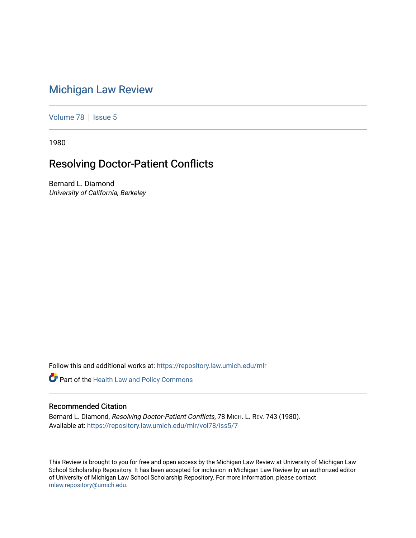# [Michigan Law Review](https://repository.law.umich.edu/mlr)

[Volume 78](https://repository.law.umich.edu/mlr/vol78) | [Issue 5](https://repository.law.umich.edu/mlr/vol78/iss5)

1980

# Resolving Doctor-Patient Conflicts

Bernard L. Diamond University of California, Berkeley

Follow this and additional works at: [https://repository.law.umich.edu/mlr](https://repository.law.umich.edu/mlr?utm_source=repository.law.umich.edu%2Fmlr%2Fvol78%2Fiss5%2F7&utm_medium=PDF&utm_campaign=PDFCoverPages) 

Part of the [Health Law and Policy Commons](http://network.bepress.com/hgg/discipline/901?utm_source=repository.law.umich.edu%2Fmlr%2Fvol78%2Fiss5%2F7&utm_medium=PDF&utm_campaign=PDFCoverPages) 

### Recommended Citation

Bernard L. Diamond, Resolving Doctor-Patient Conflicts, 78 MICH. L. REV. 743 (1980). Available at: [https://repository.law.umich.edu/mlr/vol78/iss5/7](https://repository.law.umich.edu/mlr/vol78/iss5/7?utm_source=repository.law.umich.edu%2Fmlr%2Fvol78%2Fiss5%2F7&utm_medium=PDF&utm_campaign=PDFCoverPages)

This Review is brought to you for free and open access by the Michigan Law Review at University of Michigan Law School Scholarship Repository. It has been accepted for inclusion in Michigan Law Review by an authorized editor of University of Michigan Law School Scholarship Repository. For more information, please contact [mlaw.repository@umich.edu.](mailto:mlaw.repository@umich.edu)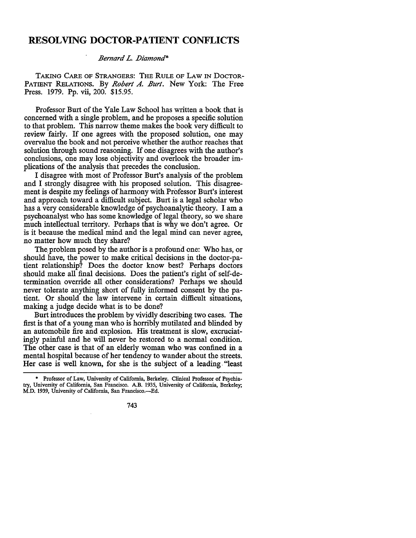### **RESOLVING DOCTOR-PATIENT CONFLICTS**

#### Bernard L. Diamond\*

TAKING CARE OF STRANGERS: THE RULE OF LAW IN DOCTOR-PATIENT RELATIONS. By *Robert A. Burt.* New York: The Free Press. 1979. Pp. vii, 200. \$15.95.

Professor Burt of the Yale Law School has written a book that is concerned with a single problem, and he proposes a specific solution to that problem. This narrow theme makes the book very difficult to review fairly. If one agrees with the proposed solution, one may overvalue the book and not perceive whether the author reaches that solution through sound reasoning. If one disagrees with the author's conclusions, one may lose objectivity and overlook the broader implications of the analysis that precedes the conclusion.

I disagree with most of Professor Burt's analysis of the problem and I strongly disagree with his proposed solution. This disagreement is despite my feelings of harmony with Professor Burt's interest and approach toward a difficult subject. Burt is a legal scholar who has a very considerable knowledge of psychoanalytic theory. I am a psychoanalyst who has some knowledge of legal theory, so we share much intellectual territory. Perhaps that is why we don't agree. Or is it because the medical mind and the legal mind can never agree, no matter how much they share?

The problem posed by the author is a profound one: Who has, or should have, the power to make critical decisions in the doctor-patient relationship? Does the doctor know best? Perhaps doctors should make all final decisions. Does the patient's right of self-determination override all other considerations? Perhaps we should never tolerate anything short of fully informed consent by the patient. Or should the law intervene in certain difficult situations, making a judge decide what is to be done?

Burt introduces the problem by vividly describing two cases. The first is that of a young man who is horribly mutilated and blinded by an automobile fire and explosion. His treatment is slow, excruciatingly painful and he will never be restored to a normal condition. The other case is that of an elderly woman who was confined in a mental hospital because of her tendency to wander about the streets. Her case is well known, for she is the subject of a leading. "least

<sup>\*</sup> Professor of Law, University of California, Berkeley. Clinical Professor of Psychiatry, University of California, San Francisco. A.B. 1935, University of California, Berkeley; M.D. 1939, University of California, San Francisco.--Ed.

<sup>743</sup>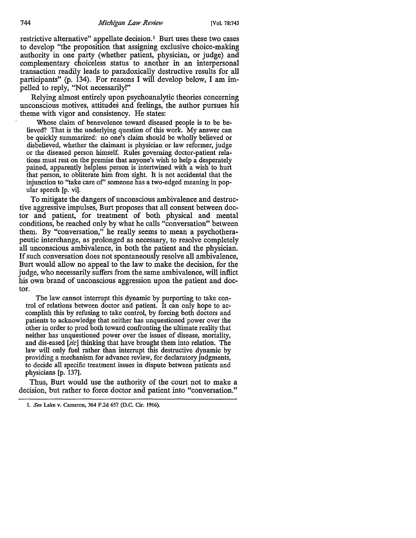restrictive alternative" appellate decision.<sup>1</sup> Burt uses these two cases to develop "the proposition that assigning exclusive choice-making authority in one party (whether patient, physician, or judge) and complementary choiceless status to another in an interpersonal transaction readily leads to paradoxically destructive results for all participants" (p. 134). For reasons I will develop below, I am impelled to reply, "Not necessarily!"

Relying almost entirely upon psychoanalytic theories concerning unconscious motives, attitudes and feelings, the author pursues his theme with vigor and consistency. He states:

Whose claim of benevolence toward diseased people is to be believed? That is the underlying question of this work. My answer can be quickly summarized: no one's claim should be wholly believed or disbelieved, whether the claimant is physician or law reformer, judge or the diseased person himself. Rules governing doctor-patient relations must rest on the premise that anyone's wish to help a desperately pained, apparently helpless person is intertwined with a wish to hurt that person, to obliterate him from sight. It is not accidental that the injunction to "take care of'' someone has a two-edged meaning in popular speech [p. vi].

To mitigate the dangers of unconscious ambivalence and destructive aggressive impulses, Burt proposes that all consent between doctor and patient, for treatment of both physical and mental conditions, be reached only by what he calls "conversation" between them. By "conversation," he really seems to mean a psychotherapeutic interchange, as prolonged as necessary, to resolve completely all unconscious ambivalence, in both the patient and the physician. If such conversation does not spontaneously resolve all ambivalence, Burt would allow no appeal to the law to make the decision, for the judge, who necessarily suffers from the same ambivalence, will inflict his own brand of unconscious aggression upon the patient and doctor.

The law cannot interrupt this dynamic by purporting to take control of relations between doctor and patient. It can only hope to accomplish this by refusing to take control, by forcing both doctors and patients to acknowledge that neither has unquestioned power over the other in order to prod both toward confronting the ultimate reality that neither has unquestioned power over the issues of disease, mortality, and dis-eased [sic] thinking that have brought them into relation. The law will only fuel rather than interrupt this destructive dynamic by providing a mechanism for advance review, for declaratory judgments, to decide all specific treatment issues in dispute between patients and physicians [p. 137].

Thus, Burt would use the authority of the court not to make a decision, but rather to force doctor and patient into "conversation."

I. *See* Lake v. Cameron, 364 F.2d 657 (D.C. Cir. 1966).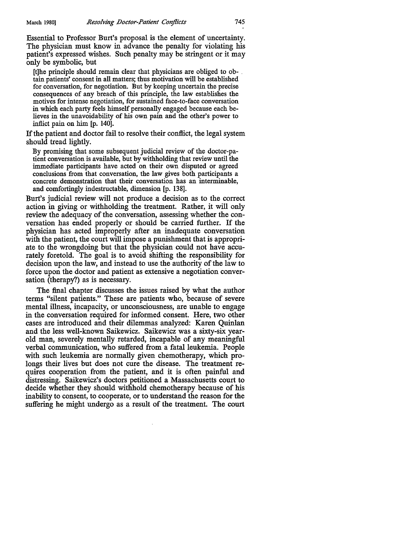Essential to Professor Burt's proposal is the element of uncertainty. The physician must know in advance the penalty for violating his patient's expressed wishes. Such penalty may be stringent or it may only be symbolic, but

[t]he principle should remain clear that physicians are obliged to ob- . tain patients' consent in all matters; thus motivation will be established for conversation, for negotiation. But by keeping uncertain the precise consequences of any breach of this principle, the law establishes the motives for intense negotiation, for sustained face-to-face conversation in which each party feels himself personally engaged because each believes in the unavoidability of his own pain and the other's power to inflict pain on him [p. 140].

If the patient and doctor fail to resolve their conflict, the legal system should tread lightly.

By promising that some subsequent judicial review of the doctor-patient conversation is available, but by withholding that review until the immediate participants have acted on their own disputed or agreed conclusions from that conversation, the law gives both participants a concrete demonstration that their conversation has an interminable, and comfortingly indestructable, dimension [p. 138].

Burt's judicial review will not produce a decision as to the correct action in giving or withholding the treatment. Rather, it will only review the adequacy of the conversation, assessing whether the conversation has ended properly or should be carried further. If the physician has acted improperly after an inadequate conversation with the patient, the court will impose a punishment that is appropriate to the wrongdoing but that the physician could not have accurately foretold. The goal is to avoid shifting the responsibility for decision upon the law, and instead to use the authority of the law to force upon the doctor and patient as extensive a negotiation conversation (therapy?) as is necessary.

The final chapter discusses the issues raised by what the author terms "silent patients." These are patients who, because of severe mental illness, incapacity, or unconsciousness, are unable to engage in the conversation required for informed consent. Here, two other cases are introduced and their dilemmas analyzed: Karen Quinlan and the less well-known Saikewicz. Saikewicz was a sixty-six yearold man, severely mentally retarded, incapable of any meaningful verbal communication, who suffered from a fatal leukemia. People with such leukemia are normally given chemotherapy, which prolongs their lives but does not cure the disease. The treatment requires cooperation from the patient, and it is often painful and distressing. Saikewicz's doctors petitioned a Massachusetts court to decide whether they should withhold chemotherapy because of his inability to consent, to cooperate, or to understand the reason for the suffering he might undergo as a result of the treatment. The court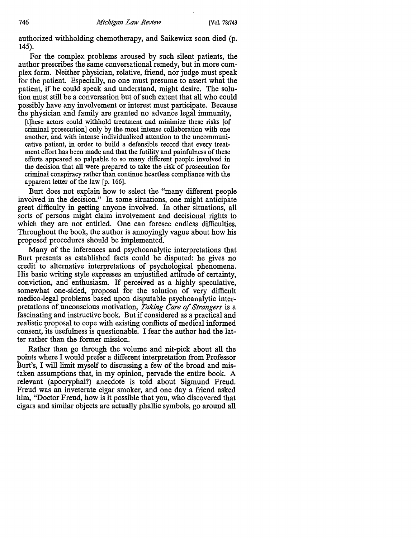authorized withholding chemotherapy, and Saikewicz soon died (p. 145).

For the complex problems aroused by such silent patients, the author prescribes the same conversational remedy, but in more complex form. Neither physician, relative, friend, nor judge must speak for the patient. Especially, no one must presume to assert what the patient, if he could speak and understand, might desire. The solution must still be a conversation but of such extent that all who could possibly have any involvement or interest must participate. Because the physician and family are granted no advance legal immunity,

[t]hese actors could withhold treatment and minimize these risks [of criminal prosecution] only by the most intense collaboration with one another, and with intense individualized attention to the uncommunicative patient, in order to build a defensible record that every treatment effort has been made and that the futility and painfulness of these efforts appeared so palpable to so many different people involved in the decision that all were prepared to take the risk of prosecution for criminal conspiracy rather than continue heartless compliance with the apparent letter of the law [p. 166].

Burt does not explain how to select the "many different people involved in the decision." In some situations, one might anticipate great difficulty in getting anyone involved. In other situations, all sorts of persons might claim involvement and decisional rights to which they are not entitled. One can foresee endless difficulties. Throughout the book, the author is annoyingly vague about how his proposed procedures should be implemented.

Many of the inferences and psychoanalytic interpretations that Burt presents as established facts could be disputed: he gives no credit to alternative interpretations of psychological phenomena. His basic writing style expresses an unjustified attitude of certainty, conviction, and enthusiasm. If perceived as a highly speculative, somewhat one-sided, proposal for the solution of very difficult medico-legal problems based upon disputable psychoanalytic interpretations of .unconscious motivation, *Taking Care of Strangers* is a fascinating and instructive book. But if considered as a practical and realistic proposal to cope with existing conflicts of medical informed consent, its usefulness is questionable. I fear the author had the latter rather than the former mission.

Rather than go through the volume and nit-pick about all the points where I would prefer a different interpretation from Professor Burt's, I will limit myself to discussing a few of the broad and mistaken assumptions that, in my opinion, pervade the entire book. A relevant (apocryphal?) anecdote is told about Sigmund Freud. Freud was an inveterate cigar smoker, and one day a friend asked him, "Doctor Freud, how is it possible that you, who discovered that cigars and similar objects are actually phallic symbols, go around all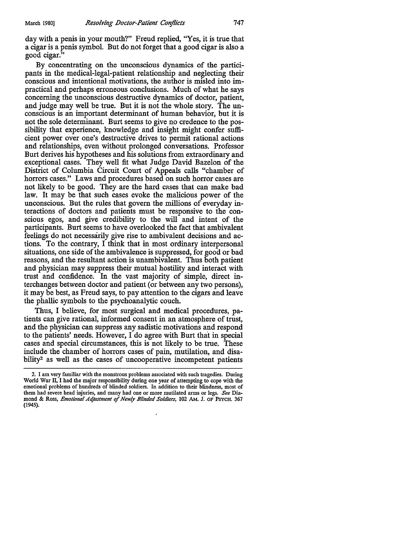day with a penis in your mouth?" Freud replied, ''Yes, it is true that a cigar is a penis symbol. But do not forget that a good cigar is also a good cigar."

By concentrating on the unconscious dynamics of the participants in the medical-legal-patient relationship and neglecting their conscious and intentional motivations, the author is misled into impractical and perhaps erroneous conclusions. Much of what he says concerning the unconscious destructive dynamics of doctor, patient, and judge may well be true. But it is not the whole story. The unconscious is an important determinant of human behavior, but it is not the sole determinant. Burt seems to give no credence to the possibility that experience, knowledge and insight might confer sufficient power over one's destructive drives to permit rational actions and relationships, even without prolonged conversations. Professor Burt derives his hypotheses and his solutions from extraordinary and exceptional cases. They well fit what Judge David Bazelon of the District of Columbia Circuit Court of Appeals calls "chamber of horrors cases." Laws and procedures based on such horror cases are not likely to be good. They are the hard cases that can make bad law. It may be that such cases evoke the malicious power of the unconscious. But the rules that govern the millions of everyday interactions of doctors and patients must be responsive to the conscious egos, and give credibility to the will and intent of the participants. Burt seems to have overlooked the fact that ambivalent feelings do not necessarily give rise to ambivalent decisions and actions. To the contrary, I think that in most ordinary interpersonal situations, one side of the ambivalence is suppressed, for good or bad reasons, and the resultant action is unambivalent. Thus both patient and physician may suppress their mutual hostility and interact with trust and confidence. In the vast majority of simple, direct interchanges between doctor and patient ( or between any two persons), it may be best, as Freud says, to pay attention to the cigars and leave the phallic symbols to the psychoanalytic couch.

Thus, I believe, for most surgical and medical procedures, patients can give rational, informed consent in an atmosphere of trust, and the physician can suppress any sadistic motivations and respond to the patients' needs. However, I do agree with Burt that in special cases and special circumstances, this is not likely to be true. These include the chamber of horrors cases of pain, mutilation, and disability<sup>2</sup> as well as the cases of uncooperative incompetent patients

<sup>2.</sup> I am very familiar with the monstrous problems associated with such tragedies. During World War II, I had the major responsibility during one year of attempting to cope with the emotional problems of hundreds of blinded soldiers. In addition to their blindness, most of them had severe head injuries, and many had one or more mutilated arms or legs. *See* Diamond & Ross, *Emotional Adjustment of Newly Blinded Soldiers,* 102 AM. J. OF PSYCH. 367 (1945).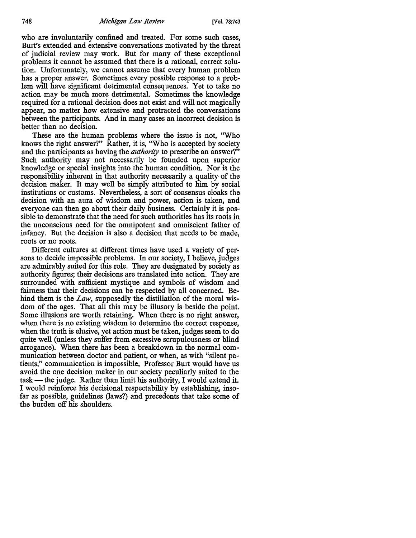who are involuntarily confined and treated. For some such cases, Burt's extended and extensive conversations motivated by the threat of judicial review may work. But for many of these exceptional problems it cannot be assumed that there is a rational, correct solution. Unfortunately, we cannot assume that every human problem has a proper answer. Sometimes every possible response to a problem will have significant detrimental consequences. Yet to take no action may be much more detrimental. Sometimes the knowledge required for a rational decision does not exist and will not magically appear, no matter how extensive and protracted the conversations between the participants. And in many cases an incorrect decision is better than no decision.

These are the human problems where the issue is not, "Who knows the right answer?" Rather, it is, "Who is accepted by society and the participants as having the *authority* to prescribe an answer?" Such authority may not necessarily be founded upon superior knowledge or special insights into the human condition. Nor is the responsibility inherent in that authority necessarily a quality- of the decision maker. It may well be simply attributed to him by social institutions or customs. Nevertheless, a sort of consensus cloaks the decision with an aura of wisdom and power, action is taken, and everyone can then go about their daily business. Certainly it is possible to demonstrate that the need for such authorities has its roots in the unconscious need for the omnipotent and omniscient father of infancy. But the decision is also a decision that needs to be made, roots or no roots.

Different cultures at different times have used a variety of persons to decide impossible problems. In our society, I believe, judges are admirably suited for this role. They are designated by society as authority figures; their decisions are translated into action. They are surrounded with sufficient mystique and symbols of wisdom and fairness that their decisions can be respected by all concerned. Behind them is the *Law,* supposedly the distillation of the moral wisdom of the ages. That all this may be illusory is beside the point. Some illusions are worth retaining. When there is no right answer, when there is no existing wisdom to determine the correct response, when the truth is elusive, yet action must be taken, judges seem to do quite well (unless they suffer from excessive scrupulousness or blind arrogance). When there has been a breakdown in the normal communication between doctor and patient, or when, as with "silent patients," communication is impossible, Professor Burt would have us avoid the one decision maker in our society peculiarly suited to the  $task$ — the judge. Rather than limit his authority, I would extend it. I would reinforce his decisional respectability by establishing, insofar as possible, guidelines (laws?) and precedents that take some of the burden off his shoulders.